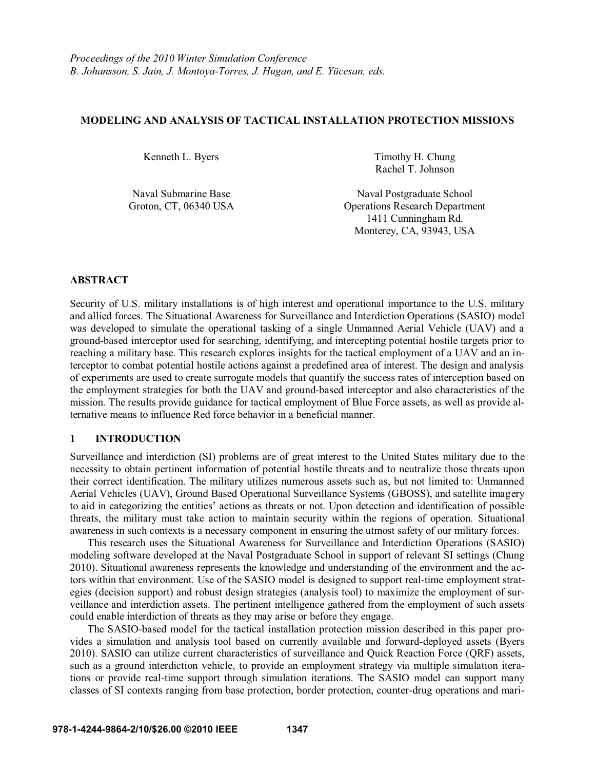## **MODELING AND ANALYSIS OF TACTICAL INSTALLATION PROTECTION MISSIONS**

Kenneth L. Byers Timothy H. Chung Rachel T. Johnson

Naval Submarine Base Naval Postgraduate School Groton, CT, 06340 USA Operations Research Department 1411 Cunningham Rd. Monterey, CA, 93943, USA

## **ABSTRACT**

Security of U.S. military installations is of high interest and operational importance to the U.S. military and allied forces. The Situational Awareness for Surveillance and Interdiction Operations (SASIO) model was developed to simulate the operational tasking of a single Unmanned Aerial Vehicle (UAV) and a ground-based interceptor used for searching, identifying, and intercepting potential hostile targets prior to reaching a military base. This research explores insights for the tactical employment of a UAV and an interceptor to combat potential hostile actions against a predefined area of interest. The design and analysis of experiments are used to create surrogate models that quantify the success rates of interception based on the employment strategies for both the UAV and ground-based interceptor and also characteristics of the mission. The results provide guidance for tactical employment of Blue Force assets, as well as provide alternative means to influence Red force behavior in a beneficial manner.

## **1 INTRODUCTION**

Surveillance and interdiction (SI) problems are of great interest to the United States military due to the necessity to obtain pertinent information of potential hostile threats and to neutralize those threats upon their correct identification. The military utilizes numerous assets such as, but not limited to: Unmanned Aerial Vehicles (UAV), Ground Based Operational Surveillance Systems (GBOSS), and satellite imagery to aid in categorizing the entities' actions as threats or not. Upon detection and identification of possible threats, the military must take action to maintain security within the regions of operation. Situational awareness in such contexts is a necessary component in ensuring the utmost safety of our military forces.

This research uses the Situational Awareness for Surveillance and Interdiction Operations (SASIO) modeling software developed at the Naval Postgraduate School in support of relevant SI settings (Chung 2010). Situational awareness represents the knowledge and understanding of the environment and the actors within that environment. Use of the SASIO model is designed to support real-time employment strategies (decision support) and robust design strategies (analysis tool) to maximize the employment of surveillance and interdiction assets. The pertinent intelligence gathered from the employment of such assets could enable interdiction of threats as they may arise or before they engage.

The SASIO-based model for the tactical installation protection mission described in this paper provides a simulation and analysis tool based on currently available and forward-deployed assets (Byers 2010). SASIO can utilize current characteristics of surveillance and Quick Reaction Force (QRF) assets, such as a ground interdiction vehicle, to provide an employment strategy via multiple simulation iterations or provide real-time support through simulation iterations. The SASIO model can support many classes of SI contexts ranging from base protection, border protection, counter-drug operations and mari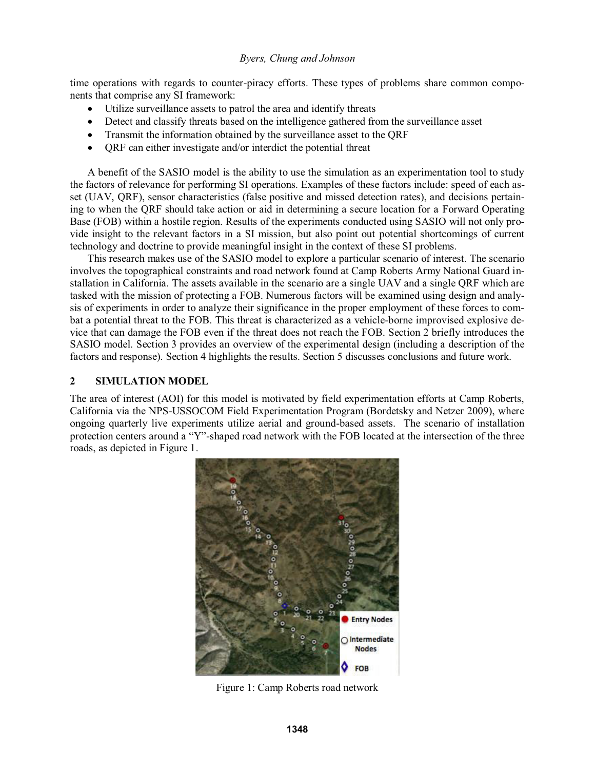time operations with regards to counter-piracy efforts. These types of problems share common components that comprise any SI framework:

- -Utilize surveillance assets to patrol the area and identify threats
- Detect and classify threats based on the intelligence gathered from the surveillance asset
- $\bullet$ Transmit the information obtained by the surveillance asset to the QRF
- $\bullet$ QRF can either investigate and/or interdict the potential threat

A benefit of the SASIO model is the ability to use the simulation as an experimentation tool to study the factors of relevance for performing SI operations. Examples of these factors include: speed of each asset (UAV, QRF), sensor characteristics (false positive and missed detection rates), and decisions pertaining to when the QRF should take action or aid in determining a secure location for a Forward Operating Base (FOB) within a hostile region. Results of the experiments conducted using SASIO will not only provide insight to the relevant factors in a SI mission, but also point out potential shortcomings of current technology and doctrine to provide meaningful insight in the context of these SI problems.

This research makes use of the SASIO model to explore a particular scenario of interest. The scenario involves the topographical constraints and road network found at Camp Roberts Army National Guard installation in California. The assets available in the scenario are a single UAV and a single QRF which are tasked with the mission of protecting a FOB. Numerous factors will be examined using design and analysis of experiments in order to analyze their significance in the proper employment of these forces to combat a potential threat to the FOB. This threat is characterized as a vehicle-borne improvised explosive device that can damage the FOB even if the threat does not reach the FOB. Section 2 briefly introduces the SASIO model. Section 3 provides an overview of the experimental design (including a description of the factors and response). Section 4 highlights the results. Section 5 discusses conclusions and future work.

## **2 SIMULATION MODEL**

The area of interest (AOI) for this model is motivated by field experimentation efforts at Camp Roberts, California via the NPS-USSOCOM Field Experimentation Program (Bordetsky and Netzer 2009), where ongoing quarterly live experiments utilize aerial and ground-based assets. The scenario of installation protection centers around a "Y"-shaped road network with the FOB located at the intersection of the three roads, as depicted in Figure 1.



Figure 1: Camp Roberts road network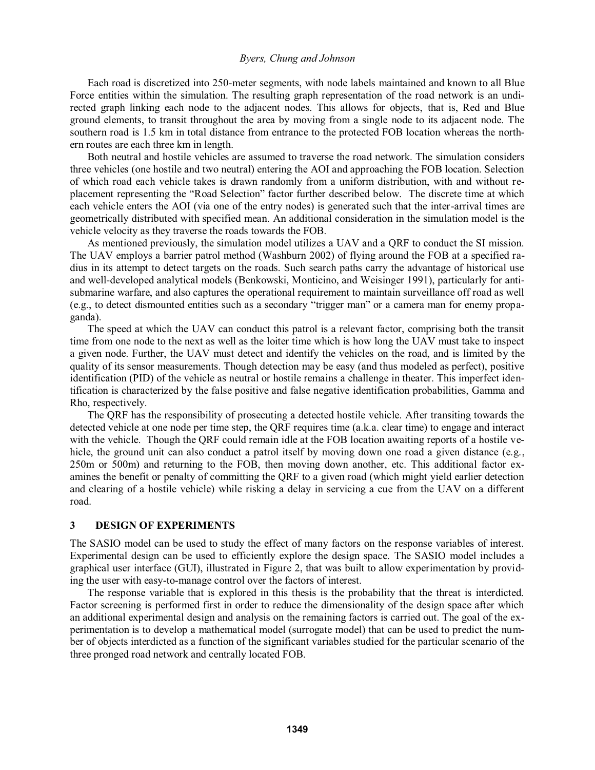Each road is discretized into 250-meter segments, with node labels maintained and known to all Blue Force entities within the simulation. The resulting graph representation of the road network is an undirected graph linking each node to the adjacent nodes. This allows for objects, that is, Red and Blue ground elements, to transit throughout the area by moving from a single node to its adjacent node. The southern road is 1.5 km in total distance from entrance to the protected FOB location whereas the northern routes are each three km in length.

 Both neutral and hostile vehicles are assumed to traverse the road network. The simulation considers three vehicles (one hostile and two neutral) entering the AOI and approaching the FOB location. Selection of which road each vehicle takes is drawn randomly from a uniform distribution, with and without re placement representing the "Road Selection" factor further described below. The discrete time at which each vehicle enters the AOI (via one of the entry nodes) is generated such that the inter-arrival times are geometrically distributed with specified mean. An additional consideration in the simulation model is the vehicle velocity as they traverse the roads towards the FOB.

As mentioned previously, the simulation model utilizes a UAV and a QRF to conduct the SI mission. The UAV employs a barrier patrol method (Washburn 2002) of flying around the FOB at a specified radius in its attempt to detect targets on the roads. Such search paths carry the advantage of historical use and well-developed analytical models (Benkowski, Monticino, and Weisinger 1991), particularly for antisubmarine warfare, and also captures the operational requirement to maintain surveillance off road as well (e.g., to detect dismounted entities such as a secondary "trigger man" or a camera man for enemy propaganda).

The speed at which the UAV can conduct this patrol is a relevant factor, comprising both the transit time from one node to the next as well as the loiter time which is how long the UAV must take to inspect a given node. Further, the UAV must detect and identify the vehicles on the road, and is limited by the quality of its sensor measurements. Though detection may be easy (and thus modeled as perfect), positive identification (PID) of the vehicle as neutral or hostile remains a challenge in theater. This imperfect identification is characterized by the false positive and false negative identification probabilities, Gamma and Rho, respectively.

The QRF has the responsibility of prosecuting a detected hostile vehicle. After transiting towards the detected vehicle at one node per time step, the QRF requires time (a.k.a. clear time) to engage and interact with the vehicle. Though the QRF could remain idle at the FOB location awaiting reports of a hostile vehicle, the ground unit can also conduct a patrol itself by moving down one road a given distance (e.g., 250m or 500m) and returning to the FOB, then moving down another, etc. This additional factor examines the benefit or penalty of committing the QRF to a given road (which might yield earlier detection and clearing of a hostile vehicle) while risking a delay in servicing a cue from the UAV on a different road.

## **3 DESIGN OF EXPERIMENTS**

The SASIO model can be used to study the effect of many factors on the response variables of interest. Experimental design can be used to efficiently explore the design space. The SASIO model includes a graphical user interface (GUI), illustrated in Figure 2, that was built to allow experimentation by providing the user with easy-to-manage control over the factors of interest.

The response variable that is explored in this thesis is the probability that the threat is interdicted. Factor screening is performed first in order to reduce the dimensionality of the design space after which an additional experimental design and analysis on the remaining factors is carried out. The goal of the experimentation is to develop a mathematical model (surrogate model) that can be used to predict the number of objects interdicted as a function of the significant variables studied for the particular scenario of the three pronged road network and centrally located FOB.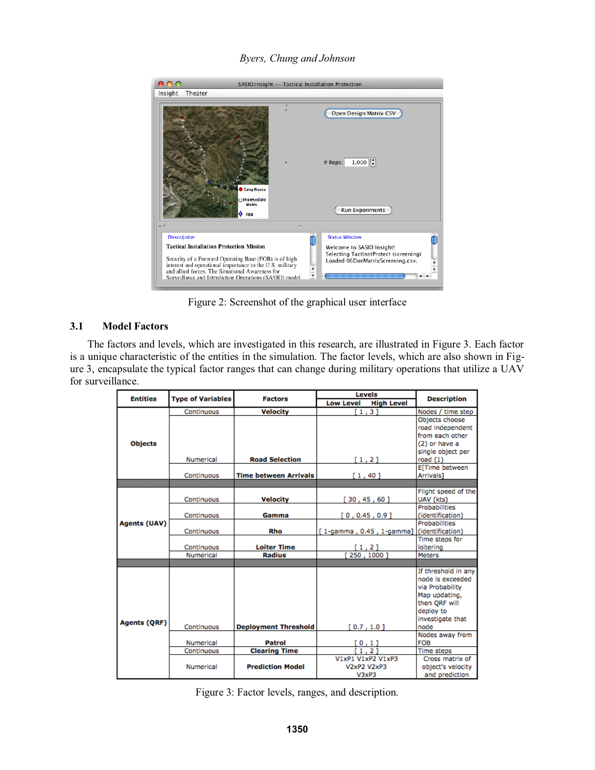| $\bigcirc$                                                                                                                                                                                                               |                                                        | SASIO:Insight -- Tactical Installation Protection                                                      |  |  |  |  |  |
|--------------------------------------------------------------------------------------------------------------------------------------------------------------------------------------------------------------------------|--------------------------------------------------------|--------------------------------------------------------------------------------------------------------|--|--|--|--|--|
| Theater<br>Insight                                                                                                                                                                                                       |                                                        |                                                                                                        |  |  |  |  |  |
|                                                                                                                                                                                                                          |                                                        | Open Design Matrix CSV                                                                                 |  |  |  |  |  |
|                                                                                                                                                                                                                          | <b>Entry Nodes</b><br>o Intermediate                   | $1,000$ $\binom{4}{7}$<br># Reps:                                                                      |  |  |  |  |  |
|                                                                                                                                                                                                                          | <b>Nodes</b><br>FOB                                    | <b>Run Experiments</b>                                                                                 |  |  |  |  |  |
| ٠                                                                                                                                                                                                                        |                                                        |                                                                                                        |  |  |  |  |  |
| <b>Description</b>                                                                                                                                                                                                       |                                                        | <b>Status Window</b>                                                                                   |  |  |  |  |  |
| <b>Tactical Installation Protection Mission</b><br>Security of a Forward Operating Base (FOB) is of high<br>interest and operational importance to the U.S. military<br>and allied forces. The Situational Awareness for |                                                        | Welcome to SASIO:Insight!<br>Selecting TactInstProtect (screening)<br>Loaded 06DoeMatrixScreening.csv. |  |  |  |  |  |
|                                                                                                                                                                                                                          | Surveillance and Interdiction Operations (SASIO) model |                                                                                                        |  |  |  |  |  |

Figure 2: Screenshot of the graphical user interface

## **3.1 Model Factors**

The factors and levels, which are investigated in this research, are illustrated in Figure 3. Each factor is a unique characteristic of the entities in the simulation. The factor levels, which are also shown in Figure 3, encapsulate the typical factor ranges that can change during military operations that utilize a UAV for surveillance.

| <b>Entities</b>     |                          | <b>Factors</b>               | <b>Levels</b>                             | <b>Description</b>                |  |
|---------------------|--------------------------|------------------------------|-------------------------------------------|-----------------------------------|--|
|                     | <b>Type of Variables</b> |                              | <b>High Level</b><br><b>Low Level</b>     |                                   |  |
|                     | Continuous               | <b>Velocity</b>              | [1,3]                                     | Nodes / time step                 |  |
|                     |                          |                              |                                           | Objects choose                    |  |
|                     |                          |                              |                                           | road independent                  |  |
|                     |                          |                              |                                           | from each other                   |  |
| <b>Objects</b>      |                          |                              |                                           | (2) or have a                     |  |
|                     |                          |                              |                                           | single object per                 |  |
|                     | Numerical                | <b>Road Selection</b>        | [1, 2]                                    | road $(1)$                        |  |
|                     |                          |                              |                                           | E[Time between                    |  |
|                     | Continuous               | <b>Time between Arrivals</b> | [1, 40]                                   | Arrivals]                         |  |
|                     |                          |                              |                                           |                                   |  |
|                     |                          |                              |                                           | Flight speed of the               |  |
|                     | Continuous               | <b>Velocity</b>              | [30, 45, 60]                              | UAV (kts)<br>Probabilities        |  |
|                     |                          |                              |                                           |                                   |  |
| <b>Agents (UAV)</b> | Continuous               | Gamma                        | [0, 0.45, 0.9]                            | (identification)<br>Probabilities |  |
|                     | Continuous               | Rho                          | [1-gamma, 0.45, 1-gamma] (identification) |                                   |  |
|                     |                          |                              |                                           | Time steps for                    |  |
|                     | Continuous               | <b>Loiter Time</b>           | 1, 21                                     | loitering                         |  |
|                     | Numerical                | <b>Radius</b>                | 250, 1000                                 | <b>Meters</b>                     |  |
|                     |                          |                              |                                           |                                   |  |
|                     |                          |                              |                                           | If threshold in any               |  |
|                     |                          |                              |                                           | node is exceeded                  |  |
|                     |                          |                              |                                           | via Probability                   |  |
| <b>Agents (QRF)</b> |                          |                              |                                           | Map updating,                     |  |
|                     |                          |                              |                                           | then QRF will                     |  |
|                     |                          |                              |                                           | deploy to                         |  |
|                     |                          |                              |                                           | investigate that                  |  |
|                     | Continuous               | <b>Deployment Threshold</b>  | [0.7, 1.0]                                | node                              |  |
|                     |                          |                              |                                           | Nodes away from                   |  |
|                     | Numerical                | Patrol                       | [0,1]                                     | <b>FOB</b>                        |  |
|                     | Continuous               | <b>Clearing Time</b>         | 1.21                                      | <b>Time steps</b>                 |  |
|                     |                          |                              | V1xP1 V1xP2 V1xP3                         | Cross matrix of                   |  |
|                     | Numerical                | <b>Prediction Model</b>      | <b>V2xP2 V2xP3</b>                        | object's velocity                 |  |
|                     |                          |                              | V3xP3                                     | and prediction                    |  |

Figure 3: Factor levels, ranges, and description.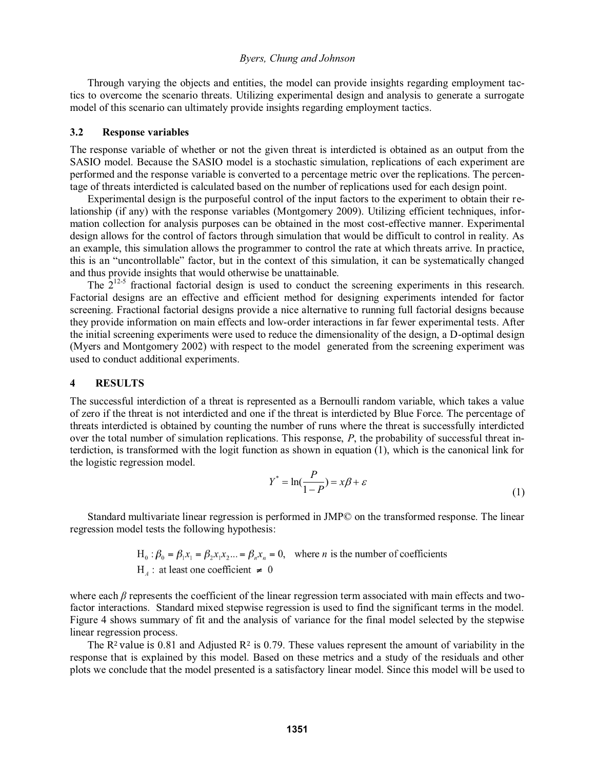Through varying the objects and entities, the model can provide insights regarding employment tactics to overcome the scenario threats. Utilizing experimental design and analysis to generate a surrogate model of this scenario can ultimately provide insights regarding employment tactics.

#### **3.2 Response variables**

The response variable of whether or not the given threat is interdicted is obtained as an output from the SASIO model. Because the SASIO model is a stochastic simulation, replications of each experiment are performed and the response variable is converted to a percentage metric over the replications. The percentage of threats interdicted is calculated based on the number of replications used for each design point.

Experimental design is the purposeful control of the input factors to the experiment to obtain their relationship (if any) with the response variables (Montgomery 2009). Utilizing efficient techniques, information collection for analysis purposes can be obtained in the most cost-effective manner. Experimental design allows for the control of factors through simulation that would be difficult to control in reality. As an example, this simulation allows the programmer to control the rate at which threats arrive. In practice, this is an "uncontrollable" factor, but in the context of this simulation, it can be systematically changed and thus provide insights that would otherwise be unattainable.

The  $2^{12.5}$  fractional factorial design is used to conduct the screening experiments in this research. Factorial designs are an effective and efficient method for designing experiments intended for factor screening. Fractional factorial designs provide a nice alternative to running full factorial designs because they provide information on main effects and low-order interactions in far fewer experimental tests. After the initial screening experiments were used to reduce the dimensionality of the design, a D-optimal design (Myers and Montgomery 2002) with respect to the model generated from the screening experiment was used to conduct additional experiments.

### **4 RESULTS**

The successful interdiction of a threat is represented as a Bernoulli random variable, which takes a value of zero if the threat is not interdicted and one if the threat is interdicted by Blue Force. The percentage of threats interdicted is obtained by counting the number of runs where the threat is successfully interdicted over the total number of simulation replications. This response, *P*, the probability of successful threat interdiction, is transformed with the logit function as shown in equation (1), which is the canonical link for the logistic regression model.

$$
Y^* = \ln(\frac{P}{1 - P}) = x\beta + \varepsilon
$$
 (1)

Standard multivariate linear regression is performed in JMP© on the transformed response. The linear regression model tests the following hypothesis:

H<sub>0</sub>: 
$$
\beta_0 = \beta_1 x_1 = \beta_2 x_1 x_2 ... = \beta_n x_n = 0
$$
, where *n* is the number of coefficients H<sub>4</sub>: at least one coefficient  $\neq 0$ 

where each  $\beta$  represents the coefficient of the linear regression term associated with main effects and twofactor interactions. Standard mixed stepwise regression is used to find the significant terms in the model. Figure 4 shows summary of fit and the analysis of variance for the final model selected by the stepwise linear regression process.

The  $R^2$  value is 0.81 and Adjusted  $R^2$  is 0.79. These values represent the amount of variability in the response that is explained by this model. Based on these metrics and a study of the residuals and other plots we conclude that the model presented is a satisfactory linear model. Since this model will be used to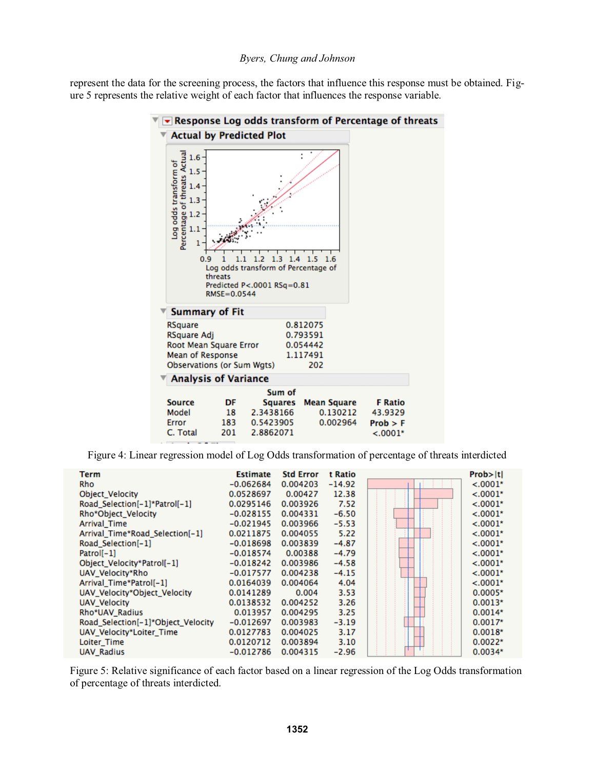represent the data for the screening process, the factors that influence this response must be obtained. Figure 5 represents the relative weight of each factor that influences the response variable.



Figure 4: Linear regression model of Log Odds transformation of percentage of threats interdicted

| Term                               | <b>Estimate</b> | <b>Std Error</b> | t Ratio  | Prob> t    |  |
|------------------------------------|-----------------|------------------|----------|------------|--|
| <b>Rho</b>                         | $-0.062684$     | 0.004203         | $-14.92$ | $< .0001*$ |  |
| Object_Velocity                    | 0.0528697       | 0.00427          | 12.38    | $< .0001*$ |  |
| Road_Selection[-1]*Patrol[-1]      | 0.0295146       | 0.003926         | 7.52     | $< .0001*$ |  |
| Rho*Object Velocity                | $-0.028155$     | 0.004331         | $-6.50$  | $< .0001*$ |  |
| Arrival_Time                       | $-0.021945$     | 0.003966         | $-5.53$  | $< .0001*$ |  |
| Arrival Time*Road Selection[-1]    | 0.0211875       | 0.004055         | 5.22     | $< .0001*$ |  |
| Road Selection[-1]                 | $-0.018698$     | 0.003839         | $-4.87$  | $< .0001*$ |  |
| Patrol[-1]                         | $-0.018574$     | 0.00388          | $-4.79$  | $< .0001*$ |  |
| Object Velocity*Patrol[-1]         | $-0.018242$     | 0.003986         | $-4.58$  | $< .0001*$ |  |
| UAV Velocity*Rho                   | $-0.017577$     | 0.004238         | $-4.15$  | $< .0001*$ |  |
| Arrival Time*Patrol[-1]            | 0.0164039       | 0.004064         | 4.04     | $< .0001*$ |  |
| UAV Velocity*Object Velocity       | 0.0141289       | 0.004            | 3.53     | $0.0005*$  |  |
| <b>UAV Velocity</b>                | 0.0138532       | 0.004252         | 3.26     | $0.0013*$  |  |
| Rho*UAV Radius                     | 0.013957        | 0.004295         | 3.25     | $0.0014*$  |  |
| Road_Selection[-1]*Object_Velocity | $-0.012697$     | 0.003983         | $-3.19$  | $0.0017*$  |  |
| UAV Velocity*Loiter Time           | 0.0127783       | 0.004025         | 3.17     | $0.0018*$  |  |
| Loiter Time                        | 0.0120712       | 0.003894         | 3.10     | $0.0022*$  |  |
| <b>UAV Radius</b>                  | $-0.012786$     | 0.004315         | $-2.96$  | $0.0034*$  |  |

Figure 5: Relative significance of each factor based on a linear regression of the Log Odds transformation of percentage of threats interdicted.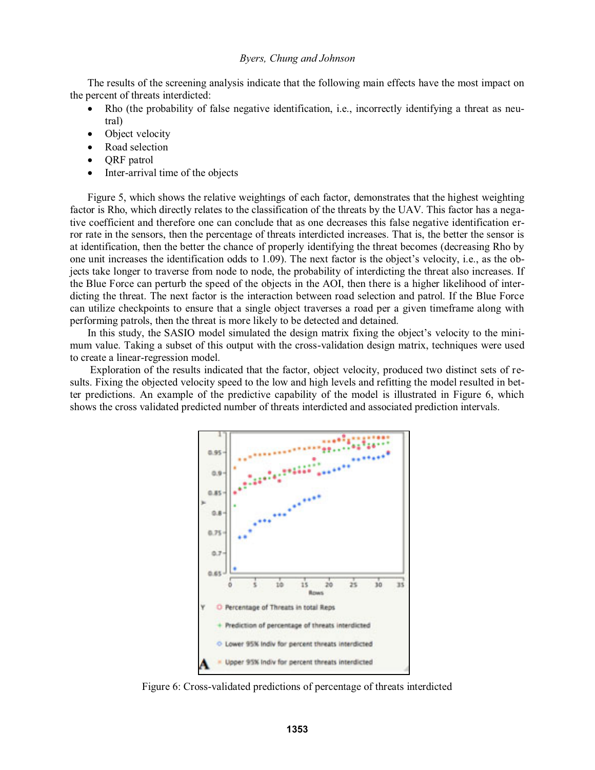The results of the screening analysis indicate that the following main effects have the most impact on the percent of threats interdicted:

- - Rho (the probability of false negative identification, i.e., incorrectly identifying a threat as neutral)
- -Object velocity
- $\bullet$ Road selection
- $\bullet$ QRF patrol
- $\bullet$ Inter-arrival time of the objects

Figure 5, which shows the relative weightings of each factor, demonstrates that the highest weighting factor is Rho, which directly relates to the classification of the threats by the UAV. This factor has a negative coefficient and therefore one can conclude that as one decreases this false negative identification error rate in the sensors, then the percentage of threats interdicted increases. That is, the better the sensor is at identification, then the better the chance of properly identifying the threat becomes (decreasing Rho by one unit increases the identification odds to 1.09). The next factor is the object's velocity, i.e., as the objects take longer to traverse from node to node, the probability of interdicting the threat also increases. If the Blue Force can perturb the speed of the objects in the AOI, then there is a higher likelihood of interdicting the threat. The next factor is the interaction between road selection and patrol. If the Blue Force can utilize checkpoints to ensure that a single object traverses a road per a given timeframe along with performing patrols, then the threat is more likely to be detected and detained.

In this study, the SASIO model simulated the design matrix fixing the object's velocity to the minimum value. Taking a subset of this output with the cross-validation design matrix, techniques were used to create a linear-regression model.

 Exploration of the results indicated that the factor, object velocity, produced two distinct sets of results. Fixing the objected velocity speed to the low and high levels and refitting the model resulted in better predictions. An example of the predictive capability of the model is illustrated in Figure 6, which shows the cross validated predicted number of threats interdicted and associated prediction intervals.



Figure 6: Cross-validated predictions of percentage of threats interdicted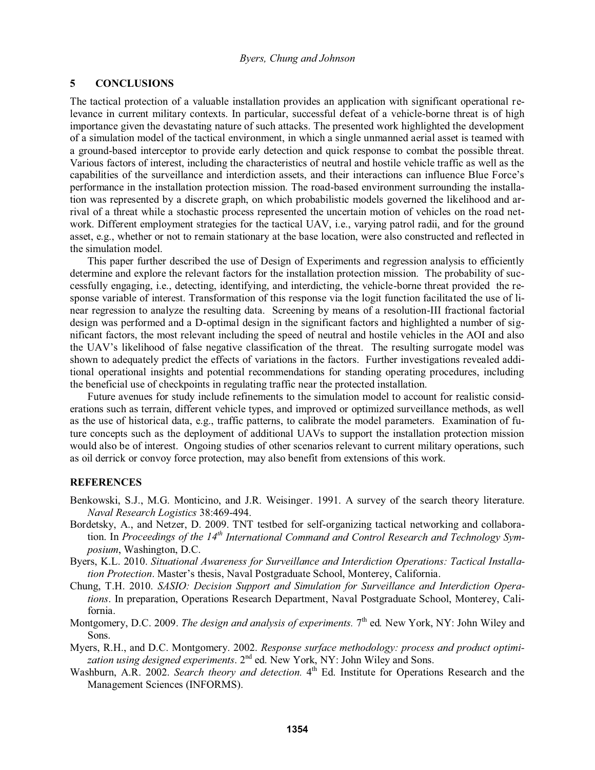### **5 CONCLUSIONS**

The tactical protection of a valuable installation provides an application with significant operational relevance in current military contexts. In particular, successful defeat of a vehicle-borne threat is of high importance given the devastating nature of such attacks. The presented work highlighted the development of a simulation model of the tactical environment, in which a single unmanned aerial asset is teamed with a ground-based interceptor to provide early detection and quick response to combat the possible threat. Various factors of interest, including the characteristics of neutral and hostile vehicle traffic as well as the capabilities of the surveillance and interdiction assets, and their interactions can influence Blue Force's performance in the installation protection mission. The road-based environment surrounding the installation was represented by a discrete graph, on which probabilistic models governed the likelihood and arrival of a threat while a stochastic process represented the uncertain motion of vehicles on the road network. Different employment strategies for the tactical UAV, i.e., varying patrol radii, and for the ground asset, e.g., whether or not to remain stationary at the base location, were also constructed and reflected in the simulation model.

 This paper further described the use of Design of Experiments and regression analysis to efficiently determine and explore the relevant factors for the installation protection mission. The probability of successfully engaging, i.e., detecting, identifying, and interdicting, the vehicle-borne threat provided the response variable of interest. Transformation of this response via the logit function facilitated the use of linear regression to analyze the resulting data. Screening by means of a resolution-III fractional factorial design was performed and a D-optimal design in the significant factors and highlighted a number of significant factors, the most relevant including the speed of neutral and hostile vehicles in the AOI and also the UAV's likelihood of false negative classification of the threat. The resulting surrogate model was shown to adequately predict the effects of variations in the factors. Further investigations revealed additional operational insights and potential recommendations for standing operating procedures, including the beneficial use of checkpoints in regulating traffic near the protected installation.

Future avenues for study include refinements to the simulation model to account for realistic considerations such as terrain, different vehicle types, and improved or optimized surveillance methods, as well as the use of historical data, e.g., traffic patterns, to calibrate the model parameters. Examination of future concepts such as the deployment of additional UAVs to support the installation protection mission would also be of interest. Ongoing studies of other scenarios relevant to current military operations, such as oil derrick or convoy force protection, may also benefit from extensions of this work.

### **REFERENCES**

- Benkowski, S.J., M.G. Monticino, and J.R. Weisinger. 1991. A survey of the search theory literature. *Naval Research Logistics* 38:469-494.
- Bordetsky, A., and Netzer, D. 2009. TNT testbed for self-organizing tactical networking and collaboration. In *Proceedings of the 14th International Command and Control Research and Technology Symposium*, Washington, D.C.
- Byers, K.L. 2010. *Situational Awareness for Surveillance and Interdiction Operations: Tactical Installa*tion Protection. Master's thesis, Naval Postgraduate School, Monterey, California.
- Chung, T.H. 2010. *SASIO: Decision Support and Simulation for Surveillance and Interdiction Operations*. In preparation, Operations Research Department, Naval Postgraduate School, Monterey, California.
- Montgomery, D.C. 2009. *The design and analysis of experiments*.  $7<sup>th</sup>$  ed. New York, NY: John Wiley and Sons.
- Myers, R.H., and D.C. Montgomery. 2002. *Response surface methodology: process and product optimi*zation using designed experiments. 2<sup>nd</sup> ed. New York, NY: John Wiley and Sons.
- Washburn, A.R. 2002. *Search theory and detection*. 4<sup>th</sup> Ed. Institute for Operations Research and the Management Sciences (INFORMS).